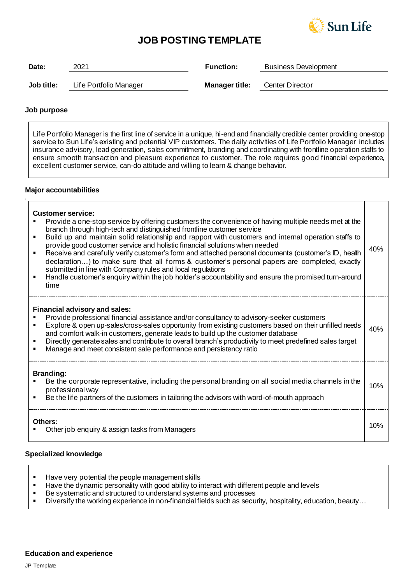

# **JOB POSTING TEMPLATE**

| Date:      | 2021                   | <b>Function:</b>      | <b>Business Development</b> |
|------------|------------------------|-----------------------|-----------------------------|
|            |                        |                       |                             |
| Job title: | Life Portfolio Manager | <b>Manager title:</b> | Center Director             |

## **Job purpose**

*.*

Life Portfolio Manager is the first line of service in a unique, hi-end and financially credible center providing one-stop service to Sun Life's existing and potential VIP customers. The daily activities of Life Portfolio Manager includes insurance advisory, lead generation, sales commitment, branding and coordinating with frontline operation staffs to ensure smooth transaction and pleasure experience to customer. The role requires good financial experience, excellent customer service, can-do attitude and willing to learn & change behavior.

#### **Major accountabilities**

| <b>Customer service:</b><br>Provide a one-stop service by offering customers the convenience of having multiple needs met at the<br>branch through high-tech and distinguished frontline customer service<br>Build up and maintain solid relationship and rapport with customers and internal operation staffs to<br>п<br>provide good customer service and holistic financial solutions when needed<br>Receive and carefully verify customer's form and attached personal documents (customer's ID, health<br>declaration) to make sure that all forms & customer's personal papers are completed, exactly<br>submitted in line with Company rules and local regulations<br>Handle customer's enquiry within the job holder's accountability and ensure the promised turn-around<br>$\blacksquare$<br>time | 40% |  |
|-------------------------------------------------------------------------------------------------------------------------------------------------------------------------------------------------------------------------------------------------------------------------------------------------------------------------------------------------------------------------------------------------------------------------------------------------------------------------------------------------------------------------------------------------------------------------------------------------------------------------------------------------------------------------------------------------------------------------------------------------------------------------------------------------------------|-----|--|
| Financial advisory and sales:<br>Provide professional financial assistance and/or consultancy to advisory-seeker customers<br>Explore & open up-sales/cross-sales opportunity from existing customers based on their unfilled needs<br>and comfort walk-in customers, generate leads to build up the customer database<br>Directly generate sales and contribute to overall branch's productivity to meet predefined sales target<br>Manage and meet consistent sale performance and persistency ratio                                                                                                                                                                                                                                                                                                      | 40% |  |
| <b>Branding:</b><br>Be the corporate representative, including the personal branding on all social media channels in the<br>professional way<br>Be the life partners of the customers in tailoring the advisors with word-of-mouth approach<br>٠                                                                                                                                                                                                                                                                                                                                                                                                                                                                                                                                                            | 10% |  |
| Others:<br>Other job enquiry & assign tasks from Managers                                                                                                                                                                                                                                                                                                                                                                                                                                                                                                                                                                                                                                                                                                                                                   |     |  |

# **Specialized knowledge**

- Have very potential the people management skills
- **EXECT** Have the dynamic personality with good ability to interact with different people and levels
- Be systematic and structured to understand systems and processes
- Diversify the working experience in non-financial fields such as security, hospitality, education, beauty...